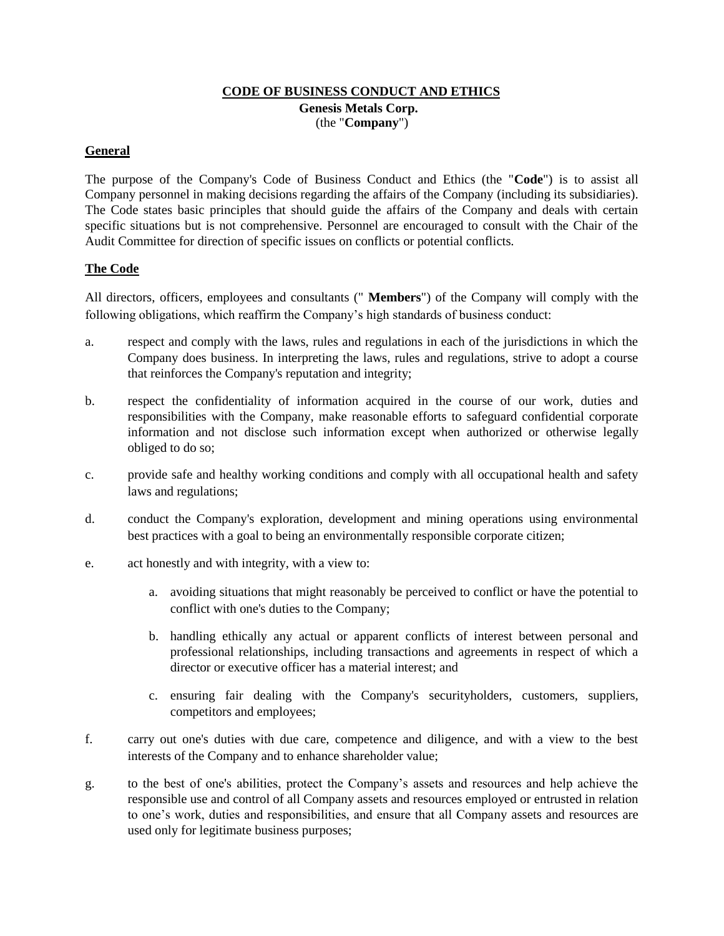## **CODE OF BUSINESS CONDUCT AND ETHICS Genesis Metals Corp.** (the "**Company**")

## **General**

The purpose of the Company's Code of Business Conduct and Ethics (the "**Code**") is to assist all Company personnel in making decisions regarding the affairs of the Company (including its subsidiaries). The Code states basic principles that should guide the affairs of the Company and deals with certain specific situations but is not comprehensive. Personnel are encouraged to consult with the Chair of the Audit Committee for direction of specific issues on conflicts or potential conflicts.

## **The Code**

All directors, officers, employees and consultants (" **Members**") of the Company will comply with the following obligations, which reaffirm the Company's high standards of business conduct:

- a. respect and comply with the laws, rules and regulations in each of the jurisdictions in which the Company does business. In interpreting the laws, rules and regulations, strive to adopt a course that reinforces the Company's reputation and integrity;
- b. respect the confidentiality of information acquired in the course of our work, duties and responsibilities with the Company, make reasonable efforts to safeguard confidential corporate information and not disclose such information except when authorized or otherwise legally obliged to do so;
- c. provide safe and healthy working conditions and comply with all occupational health and safety laws and regulations;
- d. conduct the Company's exploration, development and mining operations using environmental best practices with a goal to being an environmentally responsible corporate citizen;
- e. act honestly and with integrity, with a view to:
	- a. avoiding situations that might reasonably be perceived to conflict or have the potential to conflict with one's duties to the Company;
	- b. handling ethically any actual or apparent conflicts of interest between personal and professional relationships, including transactions and agreements in respect of which a director or executive officer has a material interest; and
	- c. ensuring fair dealing with the Company's securityholders, customers, suppliers, competitors and employees;
- f. carry out one's duties with due care, competence and diligence, and with a view to the best interests of the Company and to enhance shareholder value;
- g. to the best of one's abilities, protect the Company's assets and resources and help achieve the responsible use and control of all Company assets and resources employed or entrusted in relation to one's work, duties and responsibilities, and ensure that all Company assets and resources are used only for legitimate business purposes;